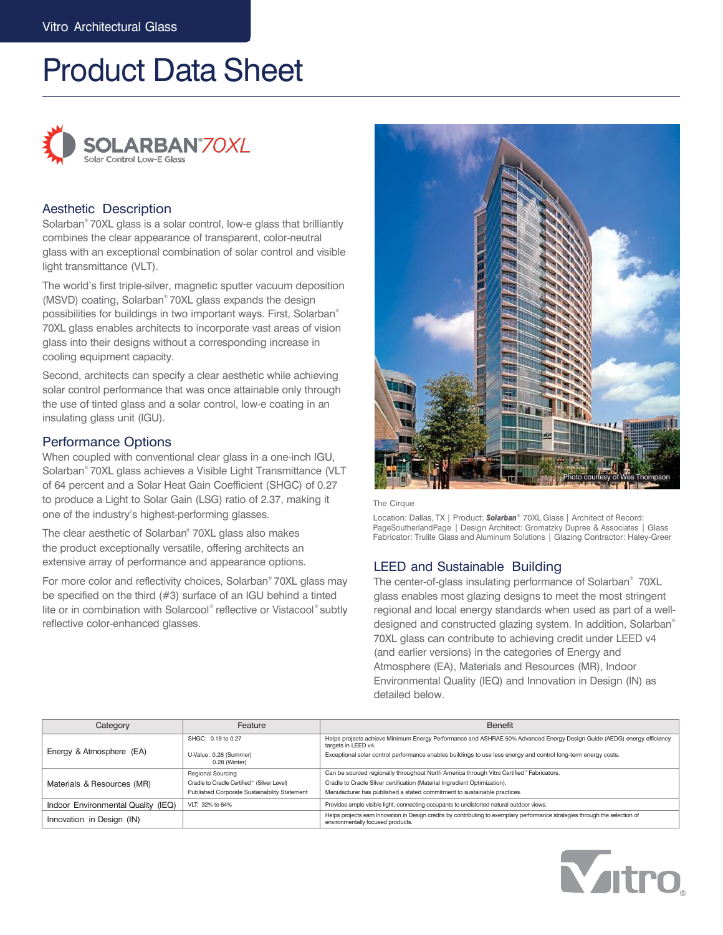# Product Data Sheet



## Aesthetic Description

Solarban® 70XL glass is a solar control, low-e glass that brilliantly combines the clear appearance of transparent, color-neutral glass with an exceptional combination of solar control and visible light transmittance (VLT).

The world's first triple-silver, magnetic sputter vacuum deposition (MSVD) coating, Solarban® 70XL glass expands the design possibilities for buildings in two important ways. First, Solarban ® 70XL glass enables architects to incorporate vast areas of vision glass into their designs without a corresponding increase in cooling equipment capacity.

Second, architects can specify a clear aesthetic while achieving solar control performance that was once attainable only through the use of tinted glass and a solar control, low-e coating in an insulating glass unit (IGU).

# Performance Options

When coupled with conventional clear glass in a one-inch IGU, Solarban® 70XL glass achieves a Visible Light Transmittance (VLT of 64 percent and a Solar Heat Gain Coefficient (SHGC) of 0.27 to produce a Light to Solar Gain (LSG) ratio of 2.37, making it The Cirque one of the industry's highest-performing glasses.

The clear aesthetic of Solarban® 70XL glass also makes the product exceptionally versatile, offering architects an extensive array of performance and appearance options.

For more color and reflectivity choices, Solarban® 70XL glass may be specified on the third (#3) surface of an IGU behind a tinted lite or in combination with Solarcool® reflective or Vistacool® subtly reflective color-enhanced glasses.





Location: Dallas, TX | Product: **Solarban**® 70XL Glass | Architect of Record:<br>PageSoutherlandPage | Design Architect: Gromatzky Dupree & Associates | Glass Fabricator: Trulite Glass and Aluminum Solutions | Glazing Contractor: Haley-Greer

# LEED and Sustainable Building

The center-of-glass insulating performance of Solarban® 70XL glass enables most glazing designs to meet the most stringent regional and local energy standards when used as part of a welldesigned and constructed glazing system. In addition, Solarban ® 70XL glass can contribute to achieving credit under LEED v4 (and earlier versions) in the categories of Energy and Atmosphere (EA), Materials and Resources (MR), Indoor Environmental Quality (IEQ) and Innovation in Design (IN) as detailed below.

**Mutro** 

| Feature<br>Category                                   |                                              | Benefit                                                                                                                                                            |  |  |  |  |
|-------------------------------------------------------|----------------------------------------------|--------------------------------------------------------------------------------------------------------------------------------------------------------------------|--|--|--|--|
|                                                       | SHGC: 0.19 to 0.27                           | Helps projects achieve Minimum Energy Performance and ASHRAE 50% Advanced Energy Design Guide (AEDG) energy efficiency<br>targets in LEED v4.                      |  |  |  |  |
| Energy & Atmosphere (EA)                              | U-Value: 0.26 (Summer)<br>0.28 (Winter)      | Exceptional solar control performance enables buildings to use less energy and control long-term energy costs.                                                     |  |  |  |  |
|                                                       | <b>Regional Sourcing</b>                     | Can be sourced regionally throughout North America through Vitro Certified "Fabricators.                                                                           |  |  |  |  |
| Materials & Resources (MR)                            | Cradle to Cradle Certified " (Silver Level)  | Cradle to Cradle Silver certification (Material Ingredient Optimization).                                                                                          |  |  |  |  |
|                                                       | Published Corporate Sustainability Statement | Manufacturer has published a stated commitment to sustainable practices.                                                                                           |  |  |  |  |
| Indoor Environmental Quality (IEQ)<br>VLT: 32% to 64% |                                              | Provides ample visible light, connecting occupants to undistorted natural outdoor views.                                                                           |  |  |  |  |
| Innovation in Design (IN)                             |                                              | Helps projects earn Innovation in Design credits by contributing to exemplary performance strategies through the selection of<br>environmentally focused products. |  |  |  |  |